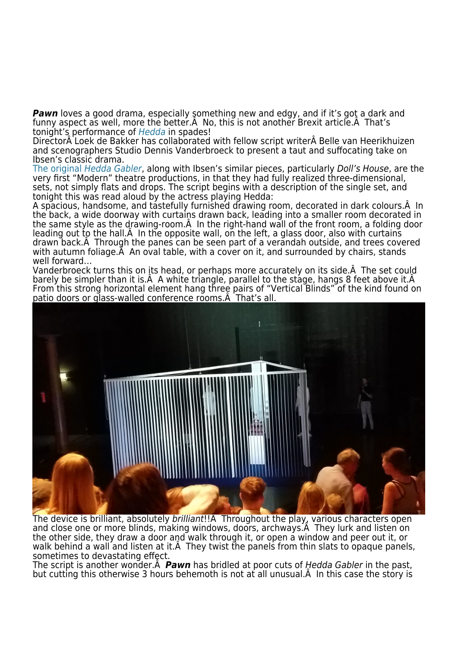**Pawn** loves a good drama, especially something new and edgy, and if it's got a dark and funny aspect as well, more the better. A No, this is not another Brexit article. A That's tonight's performance of [Hedda](http://www.itsfestivalamsterdam.com/en/line-up/hedda) in spades!

Director A Loek de Bakker has collaborated with fellow script writer A Belle van Heerikhuizen and scenographers Studio Dennis Vanderbroeck to present a taut and suffocating take on Ibsen's classic drama.

[The original](http://www.gutenberg.org/files/4093/4093-h/4093-h.htm) [Hedda Gabler](http://www.gutenberg.org/files/4093/4093-h/4093-h.htm), along with Ibsen's similar pieces, particularly Doll's House, are the very first "Modern" theatre productions, in that they had fully realized three-dimensional, sets, not simply flats and drops. The script begins with a description of the single set, and tonight this was read aloud by the actress playing Hedda:

A spacious, handsome, and tastefully furnished drawing room, decorated in dark colours. A In the back, a wide doorway with curtains drawn back, leading into a smaller room decorated in the same style as the drawing-room. A In the right-hand wall of the front room, a folding door leading out to the hall. A In the opposite wall, on the left, a glass door, also with curtains drawn back. Through the panes can be seen part of a verandah outside, and trees covered with autumn foliage. A An oval table, with a cover on it, and surrounded by chairs, stands well forward…

Vanderbroeck turns this on its head, or perhaps more accurately on its side. A The set could barely be simpler than it is. A white triangle, parallel to the stage, hangs 8 feet above it. A From this strong horizontal element hang three pairs of "Vertical Blinds" of the kind found on patio doors or glass-walled conference rooms. A That's all.



The device is brilliant, absolutely brilliant!! A Throughout the play, various characters open and close one or more blinds, making windows, doors, archways. A They lurk and listen on the other side, they draw a door and walk through it, or open a window and peer out it, or walk behind a wall and listen at it. A They twist the panels from thin slats to opaque panels, sometimes to devastating effect.

The script is another wonder. *Pawn* has bridled at poor cuts of Hedda Gabler in the past, but cutting this otherwise 3 hours behemoth is not at all unusual. A In this case the story is